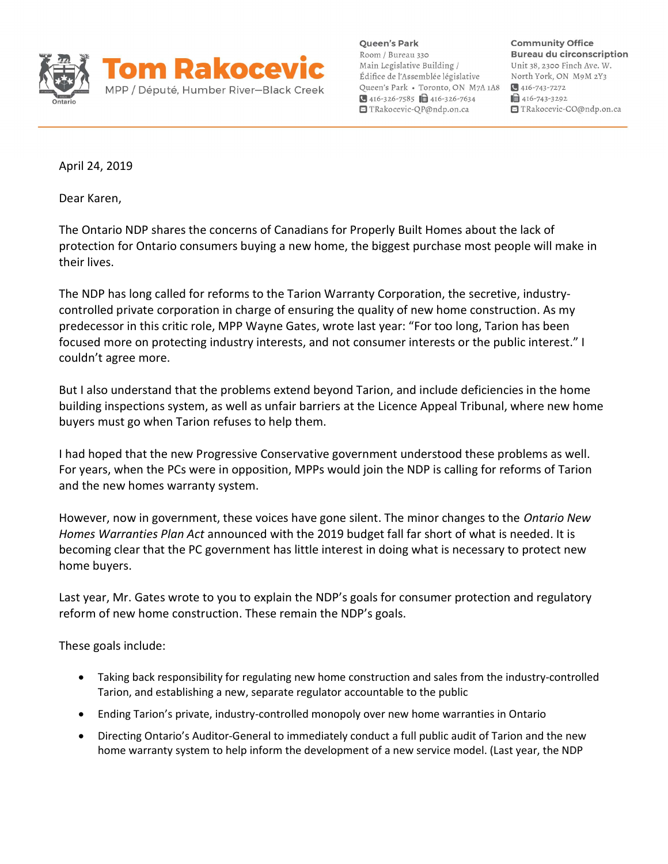

Queen's Park Room / Bureau 330 Main Legislative Building / Édifice de l'Assemblée législative Queen's Park · Toronto, ON M7A 1A8 416-326-7585  $\Box$  416-326-7634 TRakocevic-QP@ndp.on.ca

**Community Office Bureau du circonscription** Unit 38, 2300 Finch Ave. W. North York, ON M9M 2Y3  $\bigcirc$  416-743-7272  $\mathbf{1}$  416-743-3292 TRakocevic-CO@ndp.on.ca

April 24, 2019

Dear Karen,

The Ontario NDP shares the concerns of Canadians for Properly Built Homes about the lack of protection for Ontario consumers buying a new home, the biggest purchase most people will make in their lives.

The NDP has long called for reforms to the Tarion Warranty Corporation, the secretive, industrycontrolled private corporation in charge of ensuring the quality of new home construction. As my predecessor in this critic role, MPP Wayne Gates, wrote last year: "For too long, Tarion has been focused more on protecting industry interests, and not consumer interests or the public interest." I couldn't agree more.

But I also understand that the problems extend beyond Tarion, and include deficiencies in the home building inspections system, as well as unfair barriers at the Licence Appeal Tribunal, where new home buyers must go when Tarion refuses to help them.

I had hoped that the new Progressive Conservative government understood these problems as well. For years, when the PCs were in opposition, MPPs would join the NDP is calling for reforms of Tarion and the new homes warranty system.

However, now in government, these voices have gone silent. The minor changes to the Ontario New Homes Warranties Plan Act announced with the 2019 budget fall far short of what is needed. It is becoming clear that the PC government has little interest in doing what is necessary to protect new home buyers.

Last year, Mr. Gates wrote to you to explain the NDP's goals for consumer protection and regulatory reform of new home construction. These remain the NDP's goals.

These goals include:

- Taking back responsibility for regulating new home construction and sales from the industry-controlled Tarion, and establishing a new, separate regulator accountable to the public
- Ending Tarion's private, industry-controlled monopoly over new home warranties in Ontario
- Directing Ontario's Auditor-General to immediately conduct a full public audit of Tarion and the new home warranty system to help inform the development of a new service model. (Last year, the NDP